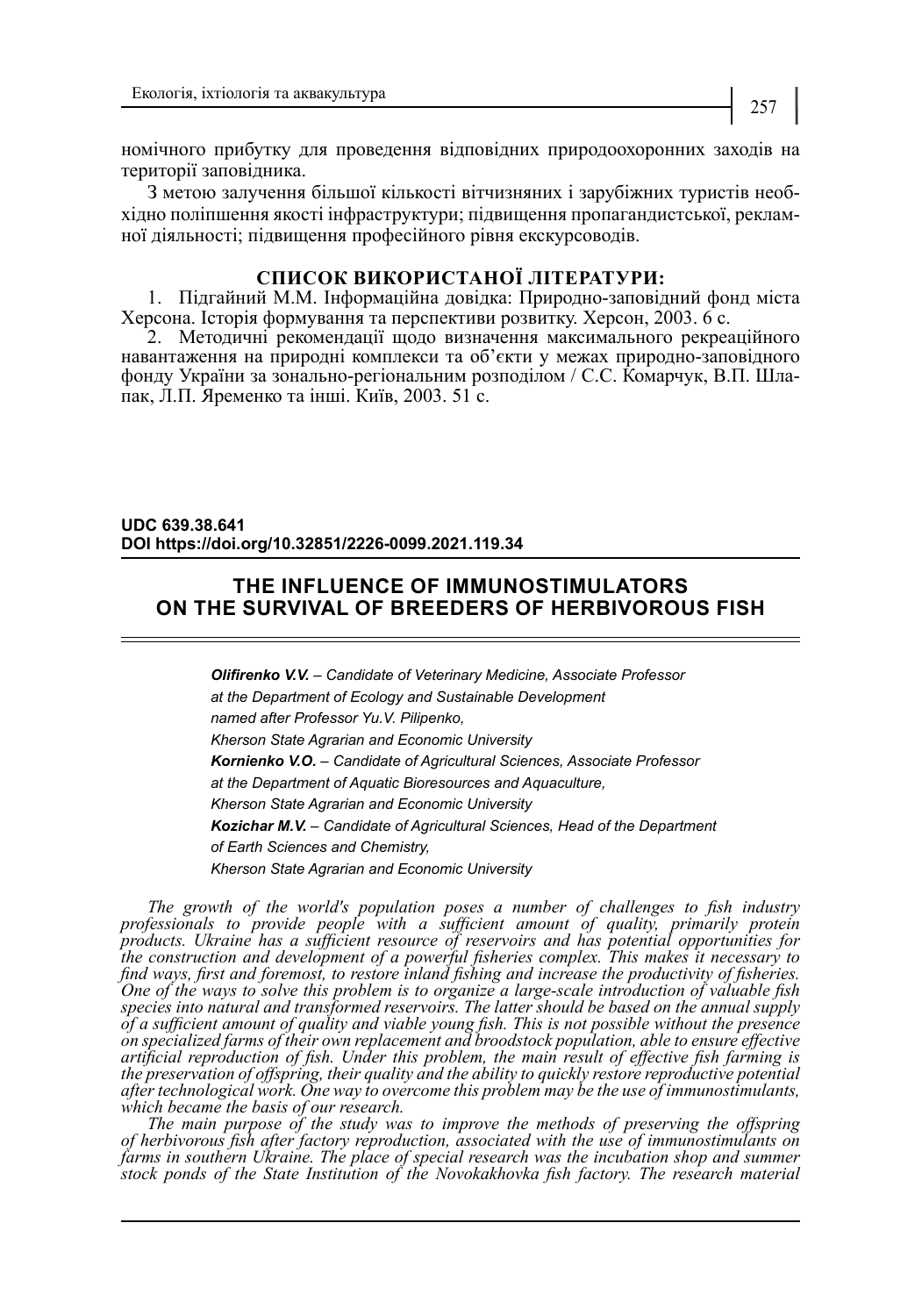номічного прибутку для проведення відповідних природоохоронних заходів на території заповідника.

З метою залучення більшої кількості вітчизняних і зарубіжних туристів необхідно поліпшення якості інфраструктури; підвищення пропагандистської, рекламної діяльності; підвищення професійного рівня екскурсоводів.

### **СПИСОК ВИКОРИСТАНОЇ ЛІТЕРАТУРИ:**

1. Підгайний М.М. Інформаційна довідка: Природно-заповідний фонд міста Херсона. Історія формування та перспективи розвитку. Херсон, 2003. 6 с.

2. Методичні рекомендації щодо визначення максимального рекреаційного навантаження на природні комплекси та об'єкти у межах природно-заповідного фонду України за зонально-регіональним розподілом / С.С. Комарчук, В.П. Шла- пак, Л.П. Яременко та інші. Київ, 2003. 51 с.

**UDC 639.38.641 DOI https://doi.org/10.32851/2226-0099.2021.119.34**

## **THE INFLUENCE OF IMMUNOSTIMULATORS ON THE SURVIVAL OF BREEDERS OF HERBIVOROUS FISH**

*Olifirenko V.V. – Candidate of Veterinary Medicine, Associate Professor at the Department of Ecology and Sustainable Development named after Professor Yu.V. Pilipenko, Kherson State Agrarian and Economic University Kornienko V.O. – Candidate of Agricultural Sciences, Associate Professor at the Department of Aquatic Bioresources and Aquaculture, Kherson State Agrarian and Economic University Kozichar M.V. – Candidate of Agricultural Sciences, Head of the Department of Earth Sciences and Chemistry, Kherson State Agrarian and Economic University*

*The growth of the world's population poses a number of challenges to fish industry professionals to provide people with a sufficient amount of quality, primarily protein products. Ukraine has a sufficient resource of reservoirs and has potential opportunities for the construction and development of a powerful fisheries complex. This makes it necessary to find ways, first and foremost, to restore inland fishing and increase the productivity of fisheries. One of the ways to solve this problem is to organize a large-scale introduction of valuable fish species into natural and transformed reservoirs. The latter should be based on the annual supply of a sufficient amount of quality and viable young fish. This is not possible without the presence on specialized farms of their own replacement and broodstock population, able to ensure effective artificial reproduction of fish. Under this problem, the main result of effective fish farming is the preservation of offspring, their quality and the ability to quickly restore reproductive potential after technological work. One way to overcome this problem may be the use of immunostimulants, which became the basis of our research.*

*The main purpose of the study was to improve the methods of preserving the offspring of herbivorous fish after factory reproduction, associated with the use of immunostimulants on*  farms in southern Ukraine. The place of special research was the incubation shop and summer *stock ponds of the State Institution of the Novokakhovka fish factory. The research material*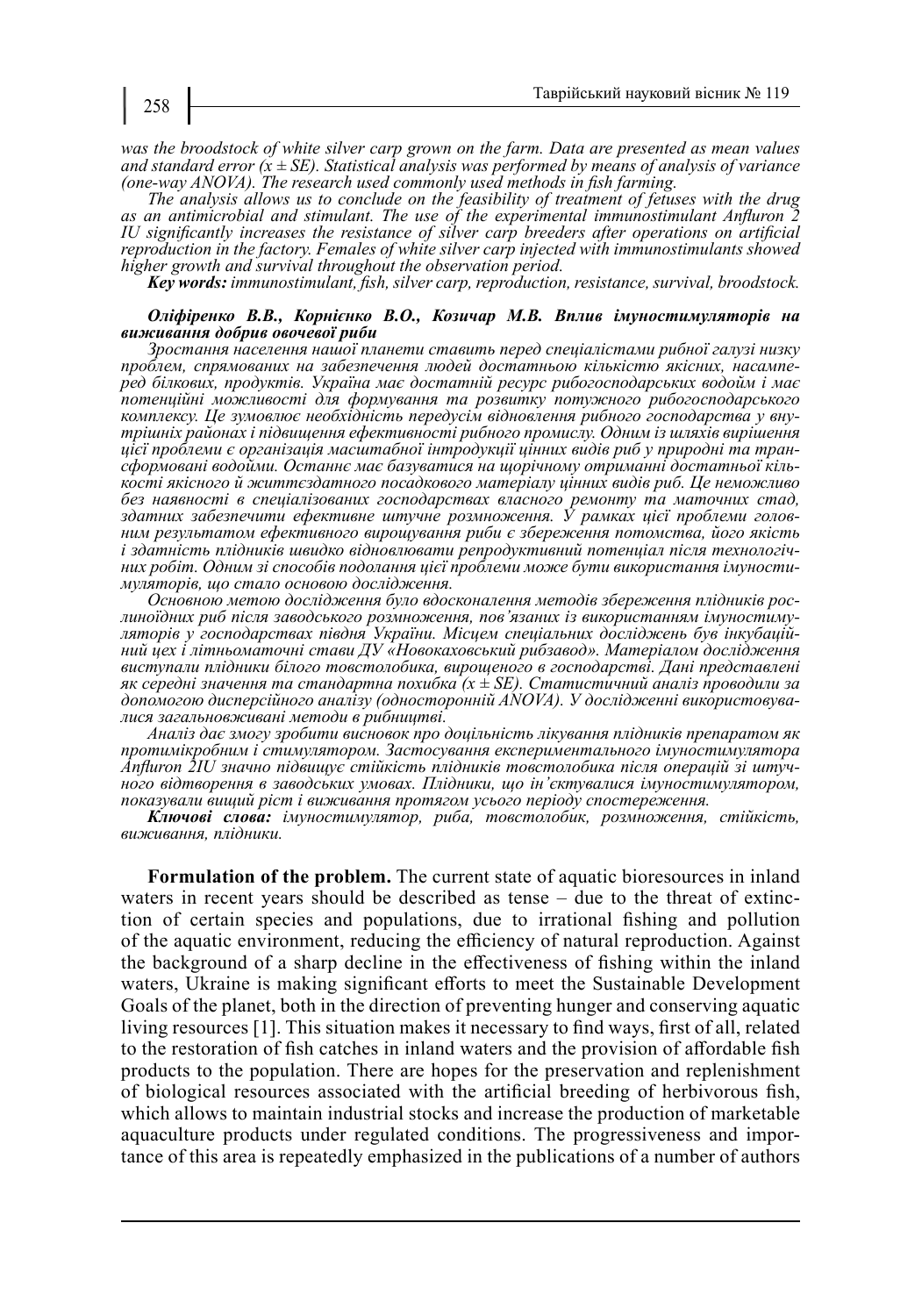*was the broodstock of white silver carp grown on the farm. Data are presented as mean values and standard error (x ± SE). Statistical analysis was performed by means of analysis of variance (one-way ANOVA). The research used commonly used methods in fish farming.*

*The analysis allows us to conclude on the feasibility of treatment of fetuses with the drug as an antimicrobial and stimulant. The use of the experimental immunostimulant Anfluron 2 IU significantly increases the resistance of silver carp breeders after operations on artificial reproduction in the factory. Females of white silver carp injected with immunostimulants showed higher growth and survival throughout the observation period.*

*Key words: immunostimulant, fish, silver carp, reproduction, resistance, survival, broodstock.*

#### *Оліфіренко В.В., Корнієнко В.О., Козичар М.В. Вплив імуностимуляторів на виживання добрив овочевої риби*

*Зростання населення нашої планети ставить перед спеціалістами рибної галузі низку проблем, спрямованих на забезпечення людей достатньою кількістю якісних, насампе- ред білкових, продуктів. Україна має достатній ресурс рибогосподарських водойм і має потенційні можливості для формування та розвитку потужного рибогосподарського комплексу. Це зумовлює необхідність передусім відновлення рибного господарства у вну- трішніх районах і підвищення ефективності рибного промислу. Одним із шляхів вирішення*  сформовані водойми. Останнє має базуватися на щорічному отриманні достатньої кіль-<br>кості якісного й життєздатного посадкового матеріалу цінних видів риб. Це неможливо *без наявності в спеціалізованих господарствах власного ремонту та маточних стад, здатних забезпечити ефективне штучне розмноження. У рамках цієї проблеми голов- ним результатом ефективного вирощування риби є збереження потомства, його якість*  і здатність плідників швидко відновлювати репродуктивний потенціал після технологіч-<br>них робіт. Одним зі способів подолання цієї проблеми може бути використання імуности-<br>муляторів, що стало основою дослідження.<br>Основною

линоїдних риб після заводського розмноження, пов'язаних із використанням імуностиму-<br>ляторів у господарствах півдня України. Місцем спеціальних досліджень був інкубацій-<br>ний цех і літньоматочні стави ДУ «Новокаховський ри *виступали плідники білого товстолобика, вирощеного в господарстві. Дані представлені як середні значення та стандартна похибка (x ± SE). Статистичний аналіз проводили за допомогою дисперсійного аналізу (односторонній ANOVA). У дослідженні використовува- лися загальновживані методи в рибництві.*

*Аналіз дає змогу зробити висновок про доцільність лікування плідників препаратом як протимікробним і стимулятором. Застосування експериментального імуностимулятора Anfluron 2IU значно підвищує стійкість плідників товстолобика після операцій зі штуч- ного відтворення в заводських умовах. Плідники, що ін'єктувалися імуностимулятором, показували вищий ріст і виживання протягом усього періоду спостереження.*

*Ключові слова: імуностимулятор, риба, товстолобик, розмноження, стійкість, виживання, плідники.*

**Formulation of the problem.** The current state of aquatic bioresources in inland waters in recent years should be described as tense *–* due to the threat of extinction of certain species and populations, due to irrational fishing and pollution of the aquatic environment, reducing the efficiency of natural reproduction. Against the background of a sharp decline in the effectiveness of fishing within the inland waters, Ukraine is making significant efforts to meet the Sustainable Development Goals of the planet, both in the direction of preventing hunger and conserving aquatic living resources [1]. This situation makes it necessary to find ways, first of all, related to the restoration of fish catches in inland waters and the provision of affordable fish products to the population. There are hopes for the preservation and replenishment of biological resources associated with the artificial breeding of herbivorous fish, which allows to maintain industrial stocks and increase the production of marketable aquaculture products under regulated conditions. The progressiveness and importance of this area is repeatedly emphasized in the publications of a number of authors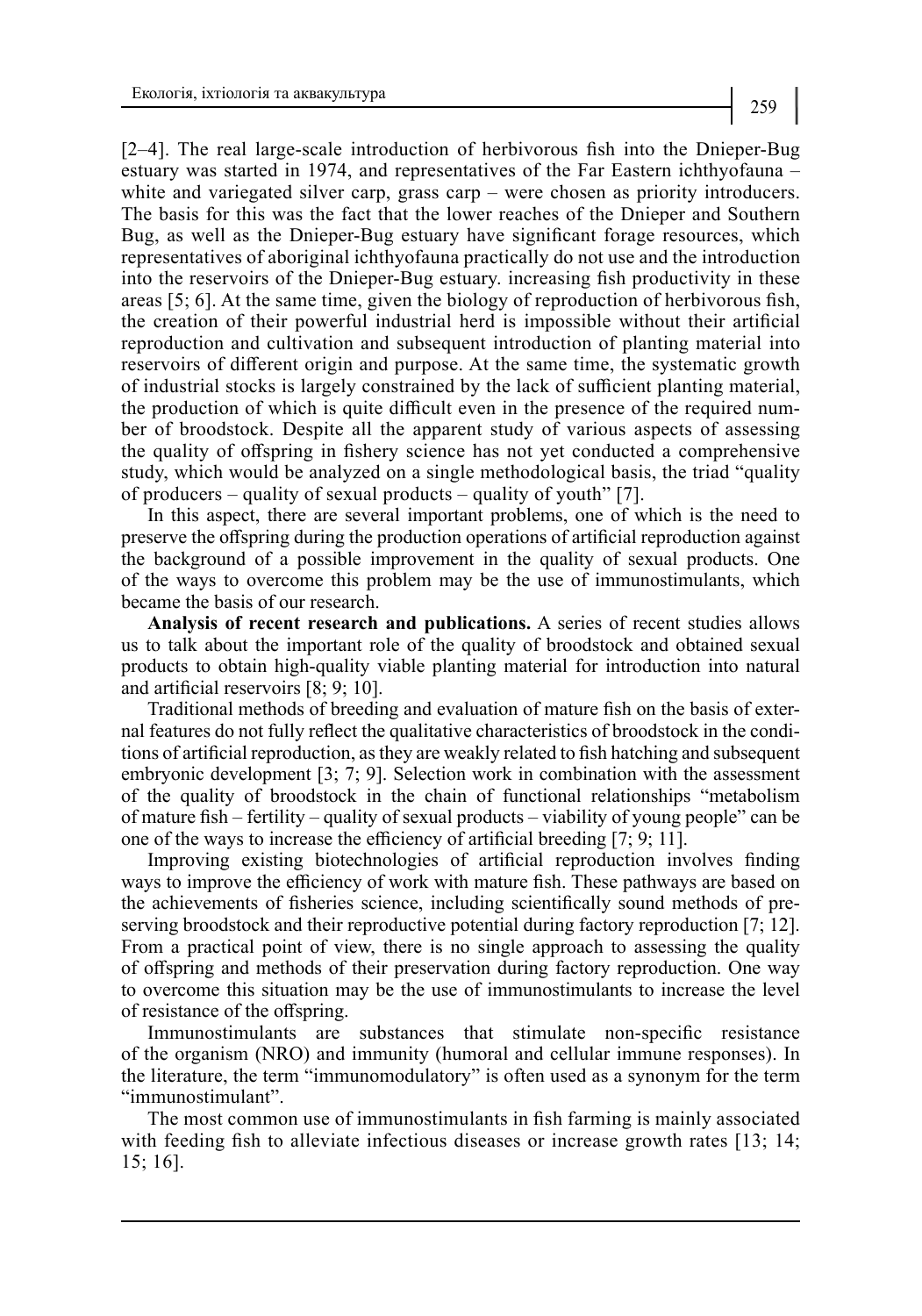[2–4]. The real large-scale introduction of herbivorous fish into the Dnieper-Bug estuary was started in 1974, and representatives of the Far Eastern ichthyofauna – white and variegated silver carp, grass carp – were chosen as priority introducers. The basis for this was the fact that the lower reaches of the Dnieper and Southern Bug, as well as the Dnieper-Bug estuary have significant forage resources, which representatives of aboriginal ichthyofauna practically do not use and the introduction into the reservoirs of the Dnieper-Bug estuary. increasing fish productivity in these areas [5; 6]. At the same time, given the biology of reproduction of herbivorous fish, the creation of their powerful industrial herd is impossible without their artificial reproduction and cultivation and subsequent introduction of planting material into reservoirs of different origin and purpose. At the same time, the systematic growth of industrial stocks is largely constrained by the lack of sufficient planting material, the production of which is quite difficult even in the presence of the required number of broodstock. Despite all the apparent study of various aspects of assessing the quality of offspring in fishery science has not yet conducted a comprehensive study, which would be analyzed on a single methodological basis, the triad "quality of producers – quality of sexual products – quality of youth" [7].

In this aspect, there are several important problems, one of which is the need to preserve the offspring during the production operations of artificial reproduction against the background of a possible improvement in the quality of sexual products. One of the ways to overcome this problem may be the use of immunostimulants, which became the basis of our research.

**Analysis of recent research and publications.** A series of recent studies allows us to talk about the important role of the quality of broodstock and obtained sexual products to obtain high-quality viable planting material for introduction into natural and artificial reservoirs [8; 9; 10].

Traditional methods of breeding and evaluation of mature fish on the basis of external features do not fully reflect the qualitative characteristics of broodstock in the conditions of artificial reproduction, as they are weakly related to fish hatching and subsequent embryonic development [3; 7; 9]. Selection work in combination with the assessment of the quality of broodstock in the chain of functional relationships "metabolism of mature fish – fertility – quality of sexual products – viability of young people" can be one of the ways to increase the efficiency of artificial breeding [7; 9; 11].

Improving existing biotechnologies of artificial reproduction involves finding ways to improve the efficiency of work with mature fish. These pathways are based on the achievements of fisheries science, including scientifically sound methods of preserving broodstock and their reproductive potential during factory reproduction [7; 12]. From a practical point of view, there is no single approach to assessing the quality of offspring and methods of their preservation during factory reproduction. One way to overcome this situation may be the use of immunostimulants to increase the level of resistance of the offspring.

Immunostimulants are substances that stimulate non-specific resistance of the organism (NRO) and immunity (humoral and cellular immune responses). In the literature, the term "immunomodulatory" is often used as a synonym for the term "immunostimulant".

The most common use of immunostimulants in fish farming is mainly associated with feeding fish to alleviate infectious diseases or increase growth rates [13; 14; 15; 16].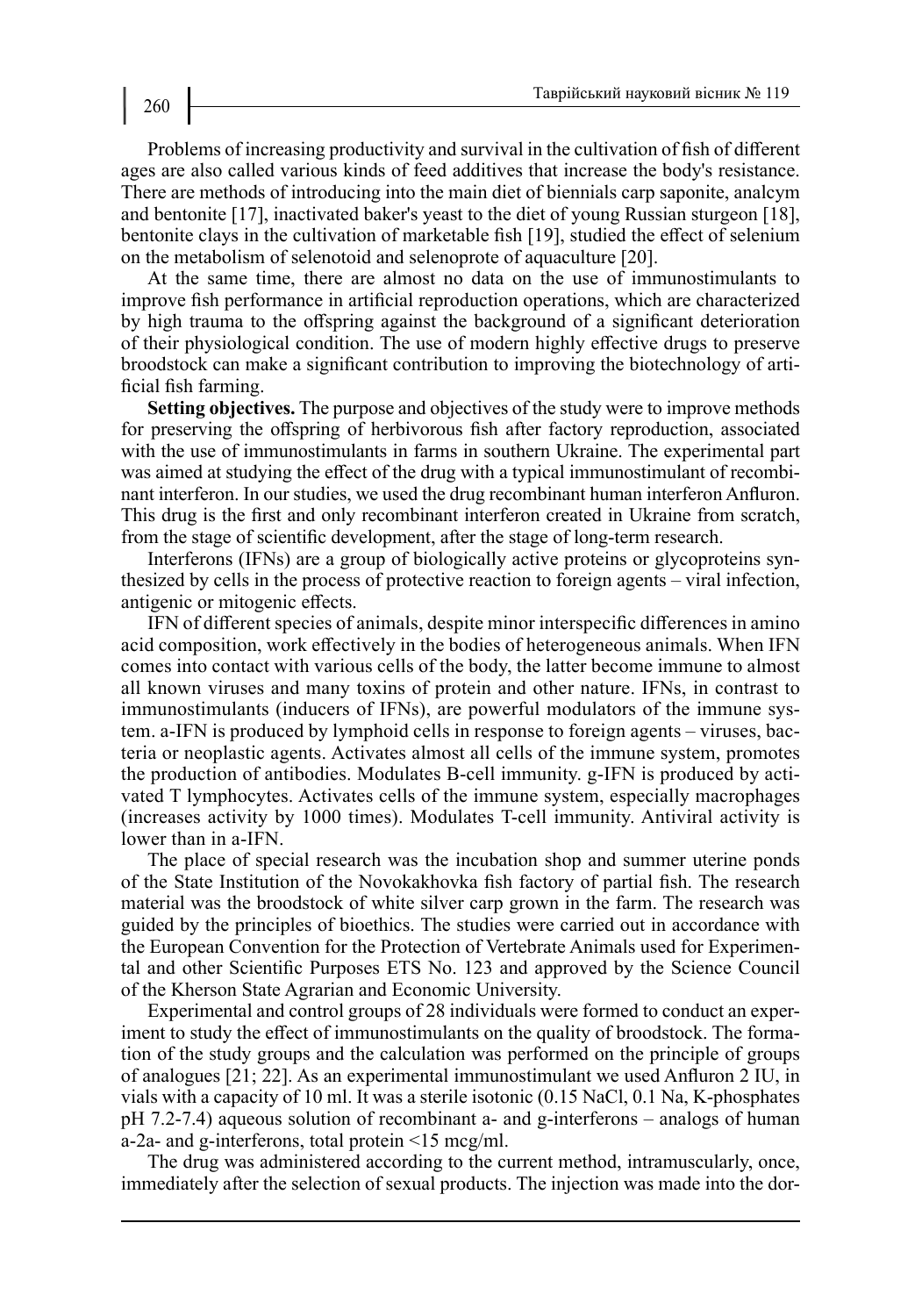Problems of increasing productivity and survival in the cultivation of fish of different ages are also called various kinds of feed additives that increase the body's resistance. There are methods of introducing into the main diet of biennials carp saponite, analcym and bentonite [17], inactivated baker's yeast to the diet of young Russian sturgeon [18], bentonite clays in the cultivation of marketable fish [19], studied the effect of selenium on the metabolism of selenotoid and selenoprote of aquaculture [20].

At the same time, there are almost no data on the use of immunostimulants to improve fish performance in artificial reproduction operations, which are characterized by high trauma to the offspring against the background of a significant deterioration of their physiological condition. The use of modern highly effective drugs to preserve broodstock can make a significant contribution to improving the biotechnology of artificial fish farming.

**Setting objectives.** The purpose and objectives of the study were to improve methods for preserving the offspring of herbivorous fish after factory reproduction, associated with the use of immunostimulants in farms in southern Ukraine. The experimental part was aimed at studying the effect of the drug with a typical immunostimulant of recombinant interferon. In our studies, we used the drug recombinant human interferon Anfluron. This drug is the first and only recombinant interferon created in Ukraine from scratch, from the stage of scientific development, after the stage of long-term research.

Interferons (IFNs) are a group of biologically active proteins or glycoproteins synthesized by cells in the process of protective reaction to foreign agents – viral infection, antigenic or mitogenic effects.

IFN of different species of animals, despite minor interspecific differences in amino acid composition, work effectively in the bodies of heterogeneous animals. When IFN comes into contact with various cells of the body, the latter become immune to almost all known viruses and many toxins of protein and other nature. IFNs, in contrast to immunostimulants (inducers of IFNs), are powerful modulators of the immune system. a-IFN is produced by lymphoid cells in response to foreign agents – viruses, bacteria or neoplastic agents. Activates almost all cells of the immune system, promotes the production of antibodies. Modulates B-cell immunity. g-IFN is produced by activated T lymphocytes. Activates cells of the immune system, especially macrophages (increases activity by 1000 times). Modulates T-cell immunity. Antiviral activity is lower than in a-IFN.

The place of special research was the incubation shop and summer uterine ponds of the State Institution of the Novokakhovka fish factory of partial fish. The research material was the broodstock of white silver carp grown in the farm. The research was guided by the principles of bioethics. The studies were carried out in accordance with the European Convention for the Protection of Vertebrate Animals used for Experimental and other Scientific Purposes ETS No. 123 and approved by the Science Council of the Kherson State Agrarian and Economic University.

Experimental and control groups of 28 individuals were formed to conduct an experiment to study the effect of immunostimulants on the quality of broodstock. The formation of the study groups and the calculation was performed on the principle of groups of analogues [21; 22]. As an experimental immunostimulant we used Anfluron 2 IU, in vials with a capacity of 10 ml. It was a sterile isotonic (0.15 NaCl, 0.1 Na, K-phosphates pH 7.2-7.4) aqueous solution of recombinant a- and g-interferons – analogs of human a-2a- and g-interferons, total protein <15 mcg/ml.

The drug was administered according to the current method, intramuscularly, once, immediately after the selection of sexual products. The injection was made into the dor-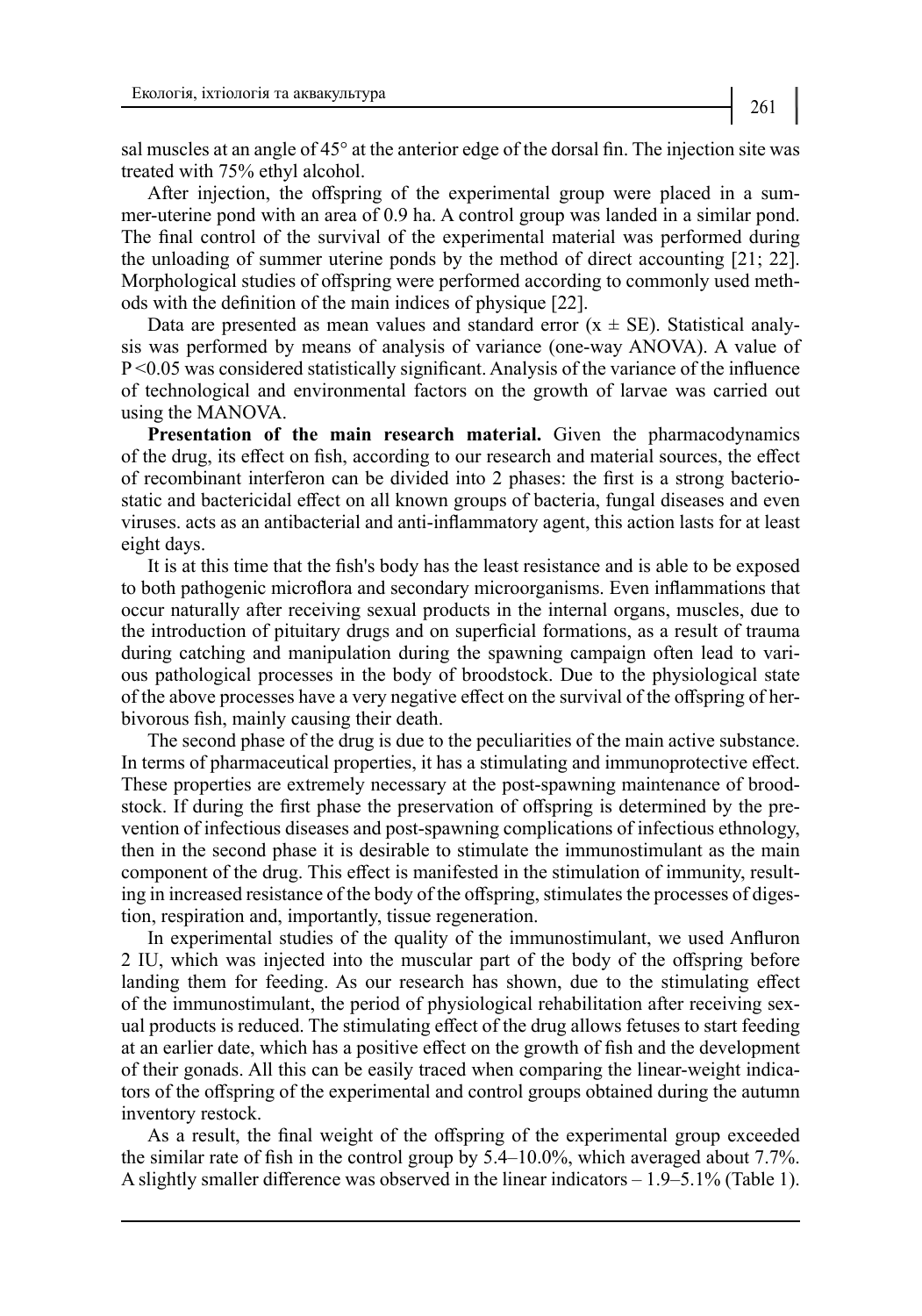sal muscles at an angle of 45° at the anterior edge of the dorsal fin. The injection site was treated with 75% ethyl alcohol.

After injection, the offspring of the experimental group were placed in a summer-uterine pond with an area of 0.9 ha. A control group was landed in a similar pond. The final control of the survival of the experimental material was performed during the unloading of summer uterine ponds by the method of direct accounting [21; 22]. Morphological studies of offspring were performed according to commonly used methods with the definition of the main indices of physique [22].

Data are presented as mean values and standard error  $(x \pm SE)$ . Statistical analysis was performed by means of analysis of variance (one-way ANOVA). A value of P <0.05 was considered statistically significant. Analysis of the variance of the influence of technological and environmental factors on the growth of larvae was carried out using the MANOVA.

**Presentation of the main research material.** Given the pharmacodynamics of the drug, its effect on fish, according to our research and material sources, the effect of recombinant interferon can be divided into 2 phases: the first is a strong bacteriostatic and bactericidal effect on all known groups of bacteria, fungal diseases and even viruses. acts as an antibacterial and anti-inflammatory agent, this action lasts for at least eight days.

It is at this time that the fish's body has the least resistance and is able to be exposed to both pathogenic microflora and secondary microorganisms. Even inflammations that occur naturally after receiving sexual products in the internal organs, muscles, due to the introduction of pituitary drugs and on superficial formations, as a result of trauma during catching and manipulation during the spawning campaign often lead to various pathological processes in the body of broodstock. Due to the physiological state of the above processes have a very negative effect on the survival of the offspring of herbivorous fish, mainly causing their death.

The second phase of the drug is due to the peculiarities of the main active substance. In terms of pharmaceutical properties, it has a stimulating and immunoprotective effect. These properties are extremely necessary at the post-spawning maintenance of broodstock. If during the first phase the preservation of offspring is determined by the prevention of infectious diseases and post-spawning complications of infectious ethnology, then in the second phase it is desirable to stimulate the immunostimulant as the main component of the drug. This effect is manifested in the stimulation of immunity, resulting in increased resistance of the body of the offspring, stimulates the processes of digestion, respiration and, importantly, tissue regeneration.

In experimental studies of the quality of the immunostimulant, we used Anfluron 2 IU, which was injected into the muscular part of the body of the offspring before landing them for feeding. As our research has shown, due to the stimulating effect of the immunostimulant, the period of physiological rehabilitation after receiving sexual products is reduced. The stimulating effect of the drug allows fetuses to start feeding at an earlier date, which has a positive effect on the growth of fish and the development of their gonads. All this can be easily traced when comparing the linear-weight indicators of the offspring of the experimental and control groups obtained during the autumn inventory restock.

As a result, the final weight of the offspring of the experimental group exceeded the similar rate of fish in the control group by 5.4–10.0%, which averaged about 7.7%. A slightly smaller difference was observed in the linear indicators – 1.9–5.1% (Table 1).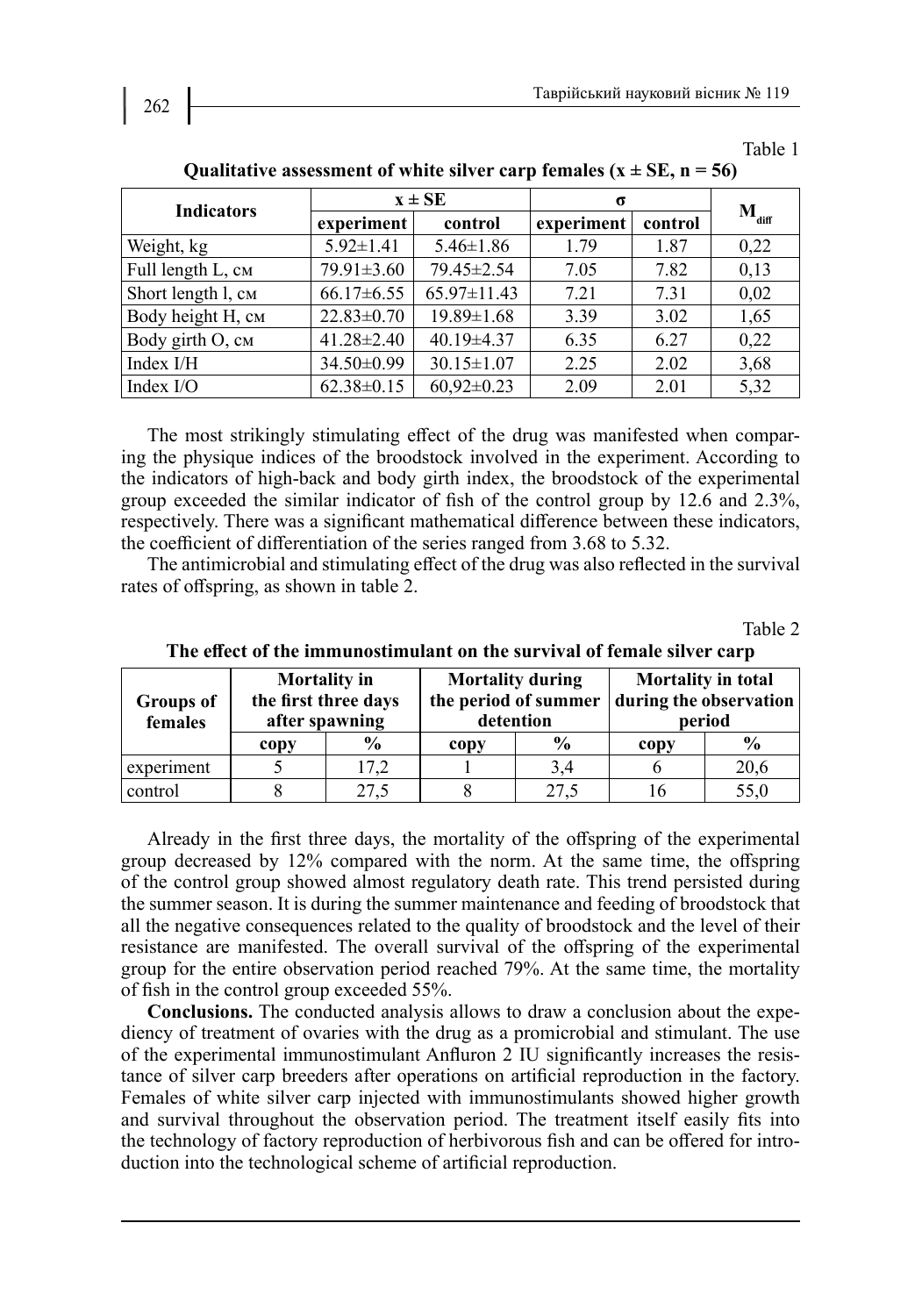Table 1

| <b>Indicators</b>  | $x \pm SE$       |                  | $\sigma$   |         |                   |
|--------------------|------------------|------------------|------------|---------|-------------------|
|                    | experiment       | control          | experiment | control | $M_{\text{diff}}$ |
| Weight, kg         | $5.92 \pm 1.41$  | $5.46 \pm 1.86$  | 1.79       | 1.87    | 0,22              |
| Full length L, см  | 79.91±3.60       | 79.45±2.54       | 7.05       | 7.82    | 0,13              |
| Short length l, CM | $66.17\pm 6.55$  | 65.97±11.43      | 7.21       | 7.31    | 0,02              |
| Body height H, см  | $22.83 \pm 0.70$ | $19.89 \pm 1.68$ | 3.39       | 3.02    | 1,65              |
| Body girth О, см   | $41.28 \pm 2.40$ | $40.19 \pm 4.37$ | 6.35       | 6.27    | 0,22              |
| Index I/H          | 34.50±0.99       | $30.15 \pm 1.07$ | 2.25       | 2.02    | 3,68              |
| Index I/O          | $62.38 \pm 0.15$ | $60,92\pm0.23$   | 2.09       | 2.01    | 5,32              |

Qualitative assessment of white silver carp females  $(x \pm SE, n = 56)$ 

The most strikingly stimulating effect of the drug was manifested when comparing the physique indices of the broodstock involved in the experiment. According to the indicators of high-back and body girth index, the broodstock of the experimental group exceeded the similar indicator of fish of the control group by 12.6 and 2.3%, respectively. There was a significant mathematical difference between these indicators, the coefficient of differentiation of the series ranged from 3.68 to 5.32.

The antimicrobial and stimulating effect of the drug was also reflected in the survival rates of offspring, as shown in table 2.

Table 2

| <b>Groups of</b><br>females | <b>Mortality</b> in<br>the first three days<br>after spawning |               | <b>Mortality during</b><br>the period of summer<br>detention |               | Mortality in total<br>during the observation<br>period |               |
|-----------------------------|---------------------------------------------------------------|---------------|--------------------------------------------------------------|---------------|--------------------------------------------------------|---------------|
|                             | copy                                                          | $\frac{6}{9}$ | copy                                                         | $\frac{0}{0}$ | copy                                                   | $\frac{6}{9}$ |
| experiment                  |                                                               | 17,2          |                                                              | 3,4           |                                                        | 20,6          |
| control                     |                                                               | 27,5          |                                                              | 27,5          |                                                        | 55,0          |

**The effect of the immunostimulant on the survival of female silver carp**

Already in the first three days, the mortality of the offspring of the experimental group decreased by 12% compared with the norm. At the same time, the offspring of the control group showed almost regulatory death rate. This trend persisted during the summer season. It is during the summer maintenance and feeding of broodstock that all the negative consequences related to the quality of broodstock and the level of their resistance are manifested. The overall survival of the offspring of the experimental group for the entire observation period reached 79%. At the same time, the mortality of fish in the control group exceeded 55%.

**Conclusions.** The conducted analysis allows to draw a conclusion about the expediency of treatment of ovaries with the drug as a promicrobial and stimulant. The use of the experimental immunostimulant Anfluron 2 IU significantly increases the resistance of silver carp breeders after operations on artificial reproduction in the factory. Females of white silver carp injected with immunostimulants showed higher growth and survival throughout the observation period. The treatment itself easily fits into the technology of factory reproduction of herbivorous fish and can be offered for introduction into the technological scheme of artificial reproduction.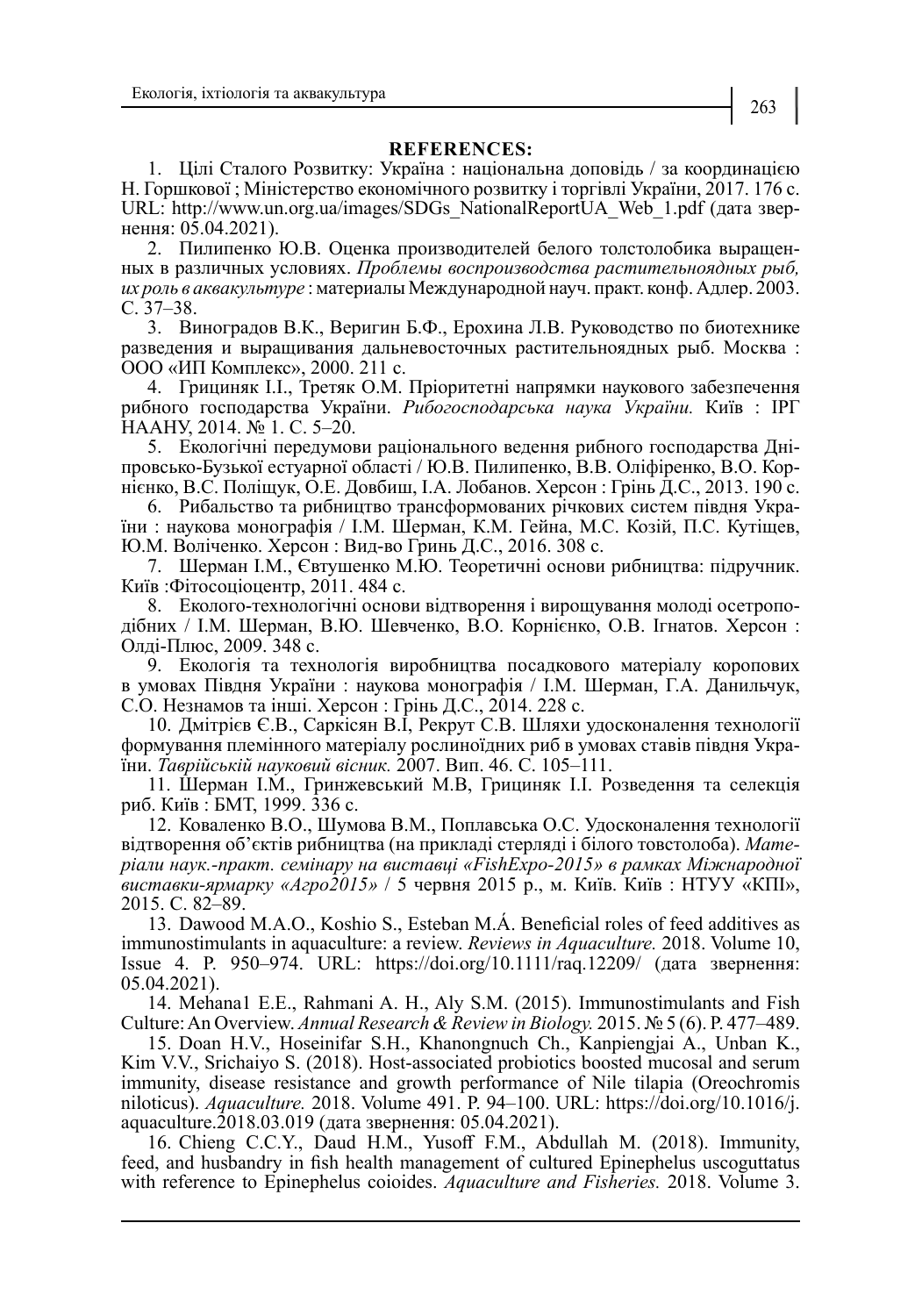#### **REFERENCES:**

1. Цілі Сталого Розвитку: Україна : національна доповідь / за координацією Н. Горшкової ; Міністерство економічного розвитку і торгівлі України, 2017. 176 с. URL: http://www.un.org.ua/images/SDGs\_NationalReportUA\_Web\_1.pdf (дата звернення: 05.04.2021).

2. Пилипенко Ю.В. Оценка производителей белого толстолобика выращенных в различных условиях. *Проблемы воспроизводства растительноядных рыб, их роль в аквакультуре* : материалы Международной науч. практ. конф. Адлер. 2003. С. 37–38.

3. Виноградов В.К., Веригин Б.Ф., Ерохина Л.В. Руководство по биотехнике разведения и выращивания дальневосточных растительноядных рыб. Москва : ООО «ИП Комплекс», 2000. 211 с.

4. Грициняк І.І., Третяк О.М. Пріоритетні напрямки наукового забезпечення рибного господарства України. *Рибогосподарська наука України.* Київ : ІРГ НААНУ, 2014. № 1. С. 5–20.

5. Екологічні передумови раціонального ведення рибного господарства Дніпровсько-Бузької естуарної області / Ю.В. Пилипенко, В.В. Оліфіренко, В.О. Корнієнко, В.С. Поліщук, О.Е. Довбиш, І.А. Лобанов. Херсон : Грінь Д.С., 2013. 190 с.

6. Рибальство та рибництво трансформованих річкових систем півдня України : наукова монографія / І.М. Шерман, К.М. Гейна, М.С. Козій, П.С. Кутіщев, Ю.М. Воліченко. Херсон : Вид-во Гринь Д.С., 2016. 308 с.

7. Шерман І.М., Євтушенко М.Ю. Теоретичні основи рибництва: підручник. Київ :Фітосоціоцентр, 2011. 484 с.

8. Еколого-технологічні основи відтворення і вирощування молоді осетроподібних / І.М. Шерман, В.Ю. Шевченко, В.О. Корнієнко, О.В. Ігнатов. Херсон : Олді-Плюс, 2009. 348 с.

9. Екологія та технологія виробництва посадкового матеріалу коропових в умовах Півдня України : наукова монографія / І.М. Шерман, Г.А. Данильчук, С.О. Незнамов та інші. Херсон : Грінь Д.С., 2014. 228 с.

10. Дмітрієв Є.В., Саркісян В.І, Рекрут С.В. Шляхи удосконалення технології формування племінного матеріалу рослиноїдних риб в умовах ставів півдня України. *Таврійській науковий вісник.* 2007. Вип. 46. С. 105–111.

11. Шерман I.M., Гринжевський М.В, Грициняк І.І. Розведення та селекція риб. Київ : БМТ, 1999. 336 с.

12. Коваленко В.О., Шумова В.М., Поплавська О.С. Удосконалення технології відтворення об'єктів рибництва (на прикладі стерляді і білого товстолоба). *Матеріали наук.-практ. семінару на виставці «FishEхpo-2015» в рамках Міжнародної виставки-ярмарку «Агро2015»* / 5 червня 2015 р., м. Київ. Київ : НТУУ «КПІ», 2015. С. 82–89.

13. Dawood M.A.O., Koshio S., Esteban M.Á. Beneficial roles of feed additives as immunostimulants in aquaculture: a review. *Reviews in Aquaculture.* 2018. Volume 10, Issue 4. P. 950–974. URL: https://doi.org/10.1111/raq.12209/ (дата звернення: 05.04.2021).

14. Mehana1 E.E., Rahmani A. H., Aly S.M. (2015). Immunostimulants and Fish Culture: An Overview. *Annual Research & Review in Biology.* 2015. № 5 (6). Р. 477–489.

15. Doan H.V., Hoseinifar S.H., Khanongnuch Ch., Kanpiengjai A., Unban K., Kim V.V., Srichaiyo S. (2018). Host-associated probiotics boosted mucosal and serum immunity, disease resistance and growth performance of Nile tilapia (Oreochromis niloticus). *Aquaculture.* 2018. Volume 491. P. 94–100. URL: https://doi.org/10.1016/j. aquaculture.2018.03.019 (дата звернення: 05.04.2021).

16. Chieng C.C.Y., Daud H.M., Yusoff F.M., Abdullah M. (2018). Immunity, feed, and husbandry in fish health management of cultured Epinephelus uscoguttatus with reference to Epinephelus coioides. *Aquaculture and Fisheries.* 2018. Volume 3.